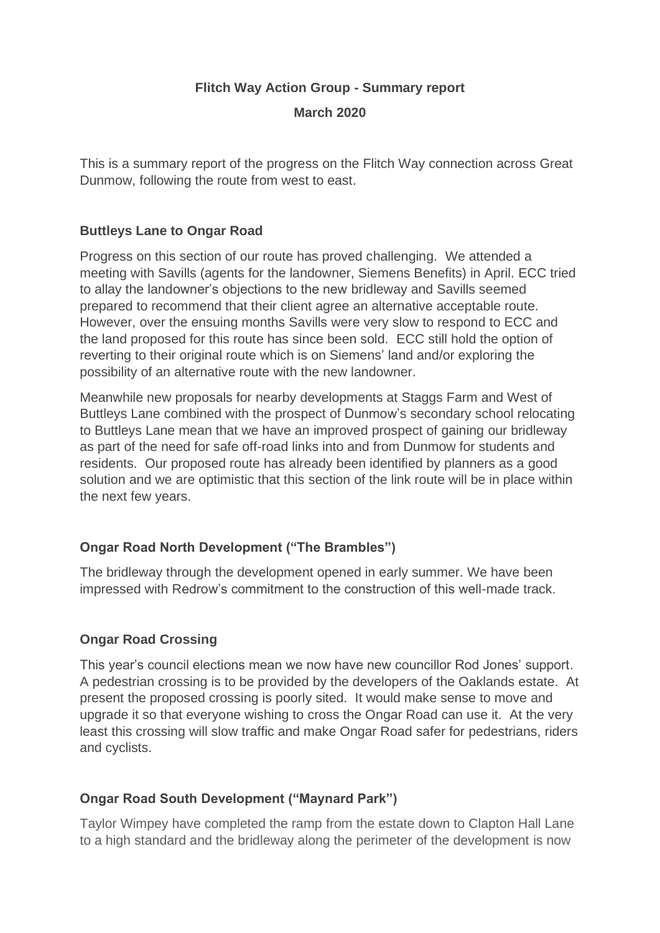### **Flitch Way Action Group - Summary report**

**March 2020**

This is a summary report of the progress on the Flitch Way connection across Great Dunmow, following the route from west to east.

### **Buttleys Lane to Ongar Road**

Progress on this section of our route has proved challenging. We attended a meeting with Savills (agents for the landowner, Siemens Benefits) in April. ECC tried to allay the landowner's objections to the new bridleway and Savills seemed prepared to recommend that their client agree an alternative acceptable route. However, over the ensuing months Savills were very slow to respond to ECC and the land proposed for this route has since been sold. ECC still hold the option of reverting to their original route which is on Siemens' land and/or exploring the possibility of an alternative route with the new landowner.

Meanwhile new proposals for nearby developments at Staggs Farm and West of Buttleys Lane combined with the prospect of Dunmow's secondary school relocating to Buttleys Lane mean that we have an improved prospect of gaining our bridleway as part of the need for safe off-road links into and from Dunmow for students and residents. Our proposed route has already been identified by planners as a good solution and we are optimistic that this section of the link route will be in place within the next few years.

## **Ongar Road North Development ("The Brambles")**

The bridleway through the development opened in early summer. We have been impressed with Redrow's commitment to the construction of this well-made track.

## **Ongar Road Crossing**

This year's council elections mean we now have new councillor Rod Jones' support. A pedestrian crossing is to be provided by the developers of the Oaklands estate. At present the proposed crossing is poorly sited. It would make sense to move and upgrade it so that everyone wishing to cross the Ongar Road can use it. At the very least this crossing will slow traffic and make Ongar Road safer for pedestrians, riders and cyclists.

## **Ongar Road South Development ("Maynard Park")**

Taylor Wimpey have completed the ramp from the estate down to Clapton Hall Lane to a high standard and the bridleway along the perimeter of the development is now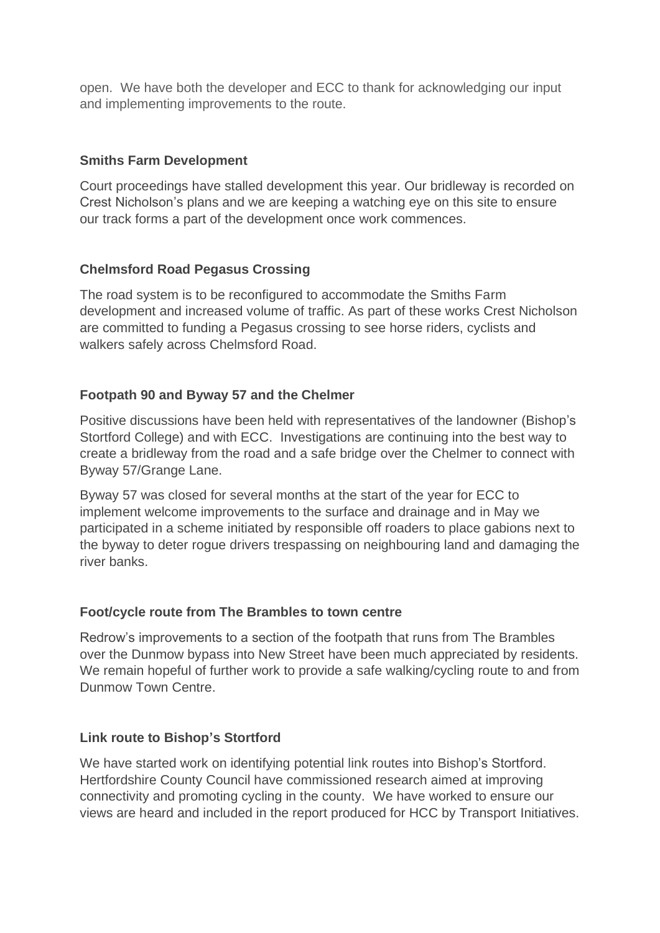open. We have both the developer and ECC to thank for acknowledging our input and implementing improvements to the route.

# **Smiths Farm Development**

Court proceedings have stalled development this year. Our bridleway is recorded on Crest Nicholson's plans and we are keeping a watching eye on this site to ensure our track forms a part of the development once work commences.

# **Chelmsford Road Pegasus Crossing**

The road system is to be reconfigured to accommodate the Smiths Farm development and increased volume of traffic. As part of these works Crest Nicholson are committed to funding a Pegasus crossing to see horse riders, cyclists and walkers safely across Chelmsford Road.

## **Footpath 90 and Byway 57 and the Chelmer**

Positive discussions have been held with representatives of the landowner (Bishop's Stortford College) and with ECC. Investigations are continuing into the best way to create a bridleway from the road and a safe bridge over the Chelmer to connect with Byway 57/Grange Lane.

Byway 57 was closed for several months at the start of the year for ECC to implement welcome improvements to the surface and drainage and in May we participated in a scheme initiated by responsible off roaders to place gabions next to the byway to deter rogue drivers trespassing on neighbouring land and damaging the river banks.

## **Foot/cycle route from The Brambles to town centre**

Redrow's improvements to a section of the footpath that runs from The Brambles over the Dunmow bypass into New Street have been much appreciated by residents. We remain hopeful of further work to provide a safe walking/cycling route to and from Dunmow Town Centre.

## **Link route to Bishop's Stortford**

We have started work on identifying potential link routes into Bishop's Stortford. Hertfordshire County Council have commissioned research aimed at improving connectivity and promoting cycling in the county. We have worked to ensure our views are heard and included in the report produced for HCC by Transport Initiatives.